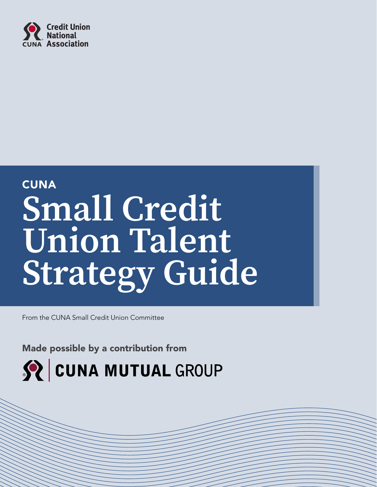

# **CUNA Small Credit Union Talent Strategy Guide**

From the CUNA Small Credit Union Committee

Made possible by a contribution from

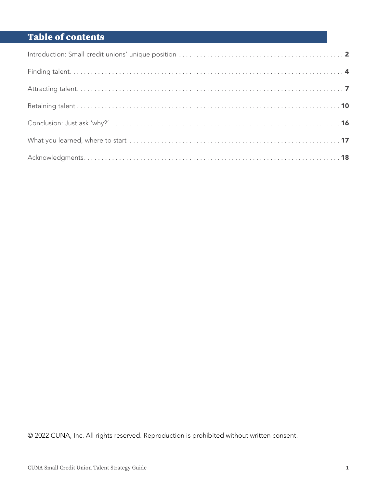# Table of contents

© 2022 CUNA, Inc. All rights reserved. Reproduction is prohibited without written consent.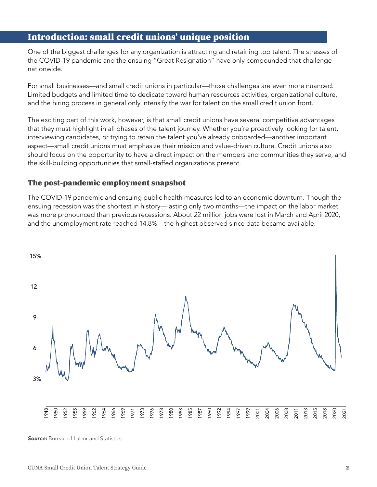# <span id="page-3-0"></span>Introduction: small credit unions' unique position

One of the biggest challenges for any organization is attracting and retaining top talent. The stresses of the COVID-19 pandemic and the ensuing "Great Resignation" have only compounded that challenge nationwide.

For small businesses—and small credit unions in particular—those challenges are even more nuanced. Limited budgets and limited time to dedicate toward human resources activities, organizational culture, and the hiring process in general only intensify the war for talent on the small credit union front.

The exciting part of this work, however, is that small credit unions have several competitive advantages that they must highlight in all phases of the talent journey. Whether you're proactively looking for talent, interviewing candidates, or trying to retain the talent you've already onboarded—another important aspect—small credit unions must emphasize their mission and value-driven culture. Credit unions also should focus on the opportunity to have a direct impact on the members and communities they serve, and the skill-building opportunities that small-staffed organizations present.

## The post-pandemic employment snapshot

The COVID-19 pandemic and ensuing public health measures led to an economic downturn. Though the ensuing recession was the shortest in history—lasting only two months—the impact on the labor market was more pronounced than previous recessions. About 22 million jobs were lost in March and April 2020, and the unemployment rate reached 14.8%—the highest observed since data became available.



**Source:** Bureau of Labor and Statistics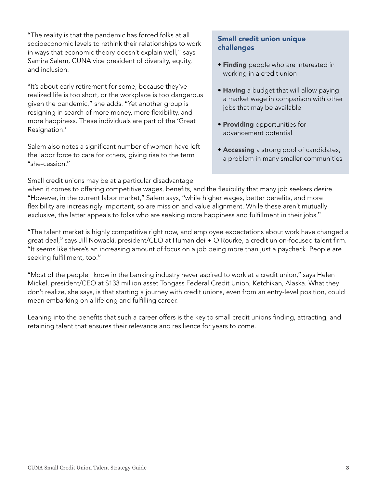<span id="page-4-0"></span>"The reality is that the pandemic has forced folks at all socioeconomic levels to rethink their relationships to work in ways that economic theory doesn't explain well," says Samira Salem, CUNA vice president of diversity, equity, and inclusion.

"It's about early retirement for some, because they've realized life is too short, or the workplace is too dangerous given the pandemic," she adds. "Yet another group is resigning in search of more money, more flexibility, and more happiness. These individuals are part of the 'Great Resignation.'

Salem also notes a significant number of women have left the labor force to care for others, giving rise to the term "she-cession."

Small credit unions may be at a particular disadvantage

#### Small credit union unique challenges

- **Finding** people who are interested in working in a credit union
- Having a budget that will allow paying a market wage in comparison with other jobs that may be available
- Providing opportunities for advancement potential
- Accessing a strong pool of candidates, a problem in many smaller communities

when it comes to offering competitive wages, benefits, and the flexibility that many job seekers desire. "However, in the current labor market," Salem says, "while higher wages, better benefits, and more flexibility are increasingly important, so are mission and value alignment. While these aren't mutually exclusive, the latter appeals to folks who are seeking more happiness and fulfillment in their jobs."

"The talent market is highly competitive right now, and employee expectations about work have changed a great deal," says Jill Nowacki, president/CEO at Humanidei + O'Rourke, a credit union-focused talent firm. "It seems like there's an increasing amount of focus on a job being more than just a paycheck. People are seeking fulfillment, too."

"Most of the people I know in the banking industry never aspired to work at a credit union," says Helen Mickel, president/CEO at \$133 million asset Tongass Federal Credit Union, Ketchikan, Alaska. What they don't realize, she says, is that starting a journey with credit unions, even from an entry-level position, could mean embarking on a lifelong and fulfilling career.

Leaning into the benefits that such a career offers is the key to small credit unions finding, attracting, and retaining talent that ensures their relevance and resilience for years to come.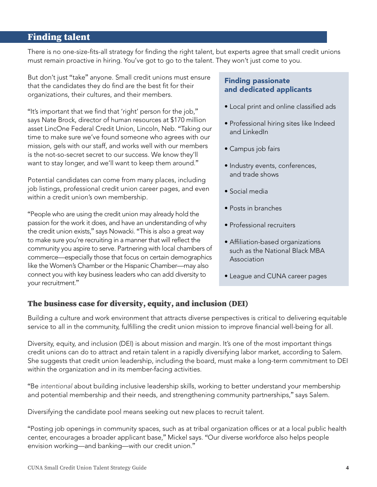# <span id="page-5-0"></span>Finding talent

There is no one-size-fits-all strategy for finding the right talent, but experts agree that small credit unions must remain proactive in hiring. You've got to go to the talent. They won't just come to you.

But don't just "take" anyone. Small credit unions must ensure that the candidates they do find are the best fit for their organizations, their cultures, and their members.

"It's important that we find that 'right' person for the job," says Nate Brock, director of human resources at \$170 million asset LincOne Federal Credit Union, Lincoln, Neb. "Taking our time to make sure we've found someone who agrees with our mission, gels with our staff, and works well with our members is the not-so-secret secret to our success. We know they'll want to stay longer, and we'll want to keep them around."

Potential candidates can come from many places, including job listings, professional credit union career pages, and even within a credit union's own membership.

"People who are using the credit union may already hold the passion for the work it does, and have an understanding of why the credit union exists," says Nowacki. "This is also a great way to make sure you're recruiting in a manner that will reflect the community you aspire to serve. Partnering with local chambers of commerce—especially those that focus on certain demographics like the Women's Chamber or the Hispanic Chamber—may also connect you with key business leaders who can add diversity to your recruitment."

# Finding passionate and dedicated applicants

- Local print and online classified ads
- Professional hiring sites like Indeed and LinkedIn
- Campus job fairs
- Industry events, conferences, and trade shows
- Social media
- Posts in branches
- Professional recruiters
- Affiliation-based organizations such as the National Black MBA Association
- League and CUNA career pages

# The business case for diversity, equity, and inclusion (DEI)

Building a culture and work environment that attracts diverse perspectives is critical to delivering equitable service to all in the community, fulfilling the credit union mission to improve financial well-being for all.

Diversity, equity, and inclusion (DEI) is about mission and margin. It's one of the most important things credit unions can do to attract and retain talent in a rapidly diversifying labor market, according to Salem. She suggests that credit union leadership, including the board, must make a long-term commitment to DEI within the organization and in its member-facing activities.

"Be *intentional* about building inclusive leadership skills, working to better understand your membership and potential membership and their needs, and strengthening community partnerships," says Salem.

Diversifying the candidate pool means seeking out new places to recruit talent.

"Posting job openings in community spaces, such as at tribal organization offices or at a local public health center, encourages a broader applicant base," Mickel says. "Our diverse workforce also helps people envision working—and banking—with our credit union."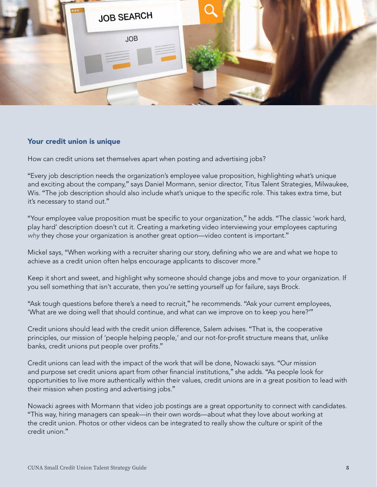<span id="page-6-0"></span>

#### Your credit union is unique

How can credit unions set themselves apart when posting and advertising jobs?

"Every job description needs the organization's employee value proposition, highlighting what's unique and exciting about the company," says Daniel Mormann, senior director, Titus Talent Strategies, Milwaukee, Wis. "The job description should also include what's unique to the specific role. This takes extra time, but it's necessary to stand out."

"Your employee value proposition must be specific to your organization," he adds. "The classic 'work hard, play hard' description doesn't cut it. Creating a marketing video interviewing your employees capturing *why* they chose your organization is another great option—video content is important."

Mickel says, "When working with a recruiter sharing our story, defining who we are and what we hope to achieve as a credit union often helps encourage applicants to discover more."

Keep it short and sweet, and highlight why someone should change jobs and move to your organization. If you sell something that isn't accurate, then you're setting yourself up for failure, says Brock.

"Ask tough questions before there's a need to recruit," he recommends. "Ask your current employees, 'What are we doing well that should continue, and what can we improve on to keep you here?'"

Credit unions should lead with the credit union difference, Salem advises. "That is, the cooperative principles, our mission of 'people helping people,' and our not-for-profit structure means that, unlike banks, credit unions put people over profits."

Credit unions can lead with the impact of the work that will be done, Nowacki says. "Our mission and purpose set credit unions apart from other financial institutions," she adds. "As people look for opportunities to live more authentically within their values, credit unions are in a great position to lead with their mission when posting and advertising jobs."

Nowacki agrees with Mormann that video job postings are a great opportunity to connect with candidates. "This way, hiring managers can speak—in their own words—about what they love about working at the credit union. Photos or other videos can be integrated to really show the culture or spirit of the credit union."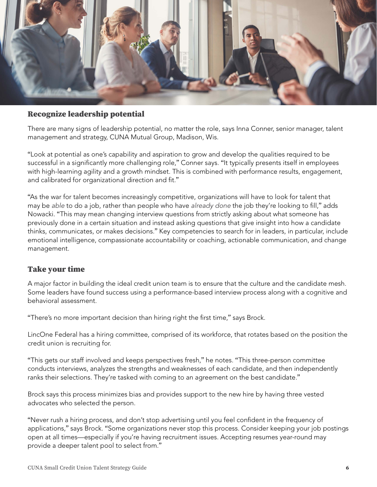<span id="page-7-0"></span>

#### Recognize leadership potential

There are many signs of leadership potential, no matter the role, says Inna Conner, senior manager, talent management and strategy, CUNA Mutual Group, Madison, Wis.

"Look at potential as one's capability and aspiration to grow and develop the qualities required to be successful in a significantly more challenging role," Conner says. "It typically presents itself in employees with high-learning agility and a growth mindset. This is combined with performance results, engagement, and calibrated for organizational direction and fit."

"As the war for talent becomes increasingly competitive, organizations will have to look for talent that may be *able* to do a job, rather than people who have *already done* the job they're looking to fill," adds Nowacki. "This may mean changing interview questions from strictly asking about what someone has previously done in a certain situation and instead asking questions that give insight into how a candidate thinks, communicates, or makes decisions." Key competencies to search for in leaders, in particular, include emotional intelligence, compassionate accountability or coaching, actionable communication, and change management.

## Take your time

A major factor in building the ideal credit union team is to ensure that the culture and the candidate mesh. Some leaders have found success using a performance-based interview process along with a cognitive and behavioral assessment.

"There's no more important decision than hiring right the first time," says Brock.

LincOne Federal has a hiring committee, comprised of its workforce, that rotates based on the position the credit union is recruiting for.

"This gets our staff involved and keeps perspectives fresh," he notes. "This three-person committee conducts interviews, analyzes the strengths and weaknesses of each candidate, and then independently ranks their selections. They're tasked with coming to an agreement on the best candidate."

Brock says this process minimizes bias and provides support to the new hire by having three vested advocates who selected the person.

"Never rush a hiring process, and don't stop advertising until you feel confident in the frequency of applications," says Brock. "Some organizations never stop this process. Consider keeping your job postings open at all times—especially if you're having recruitment issues. Accepting resumes year-round may provide a deeper talent pool to select from."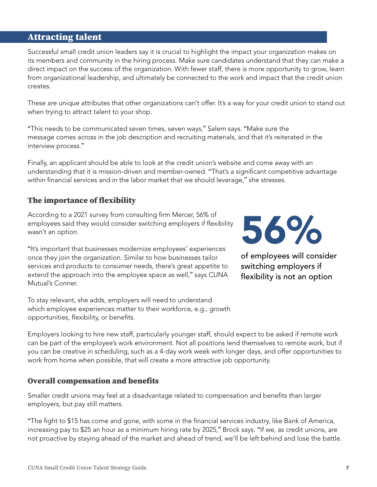# <span id="page-8-0"></span>Attracting talent

Successful small credit union leaders say it is crucial to highlight the impact your organization makes on its members and community in the hiring process. Make sure candidates understand that they can make a direct impact on the success of the organization. With fewer staff, there is more opportunity to grow, learn from organizational leadership, and ultimately be connected to the work and impact that the credit union creates.

These are unique attributes that other organizations can't offer. It's a way for your credit union to stand out when trying to attract talent to your shop.

"This needs to be communicated seven times, seven ways," Salem says. "Make sure the message comes across in the job description and recruiting materials, and that it's reiterated in the interview process."

Finally, an applicant should be able to look at the credit union's website and come away with an understanding that it is mission-driven and member-owned. "That's a significant competitive advantage within financial services and in the labor market that we should leverage," she stresses.

# The importance of flexibility

According to a 2021 survey from consulting firm Mercer, 56% of employees said they would consider switching employers if flexibility wasn't an option.

"It's important that businesses modernize employees' experiences once they join the organization. Similar to how businesses tailor services and products to consumer needs, there's great appetite to extend the approach into the employee space as well," says CUNA Mutual's Conner.

To stay relevant, she adds, employers will need to understand which employee experiences matter to their workforce, e.g., growth opportunities, flexibility, or benefits.



of employees will consider switching employers if flexibility is not an option

Employers looking to hire new staff, particularly younger staff, should expect to be asked if remote work can be part of the employee's work environment. Not all positions lend themselves to remote work, but if you can be creative in scheduling, such as a 4-day work week with longer days, and offer opportunities to work from home when possible, that will create a more attractive job opportunity.

## Overall compensation and benefits

Smaller credit unions may feel at a disadvantage related to compensation and benefits than larger employers, but pay still matters.

"The fight to \$15 has come and gone, with some in the financial services industry, like Bank of America, increasing pay to \$25 an hour as a minimum hiring rate by 2025," Brock says. "If we, as credit unions, are not proactive by staying ahead of the market and ahead of trend, we'll be left behind and lose the battle.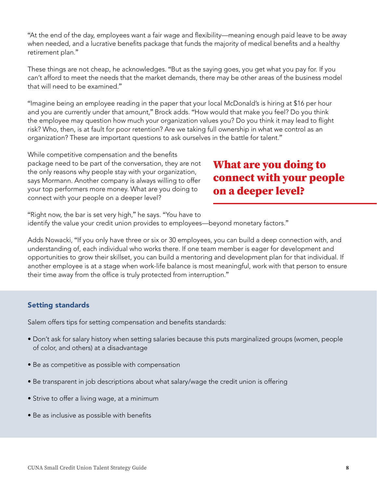"At the end of the day, employees want a fair wage and flexibility—meaning enough paid leave to be away when needed, and a lucrative benefits package that funds the majority of medical benefits and a healthy retirement plan."

These things are not cheap, he acknowledges. "But as the saying goes, you get what you pay for. If you can't afford to meet the needs that the market demands, there may be other areas of the business model that will need to be examined."

"Imagine being an employee reading in the paper that your local McDonald's is hiring at \$16 per hour and you are currently under that amount," Brock adds. "How would that make you feel? Do you think the employee may question how much your organization values you? Do you think it may lead to flight risk? Who, then, is at fault for poor retention? Are we taking full ownership in what we control as an organization? These are important questions to ask ourselves in the battle for talent."

While competitive compensation and the benefits package need to be part of the conversation, they are not the only reasons why people stay with your organization, says Mormann. Another company is always willing to offer your top performers more money. What are you doing to connect with your people on a deeper level?

# What are you doing to connect with your people on a deeper level?

"Right now, the bar is set very high," he says. "You have to identify the value your credit union provides to employees—beyond monetary factors."

Adds Nowacki, "If you only have three or six or 30 employees, you can build a deep connection with, and understanding of, each individual who works there. If one team member is eager for development and opportunities to grow their skillset, you can build a mentoring and development plan for that individual. If another employee is at a stage when work-life balance is most meaningful, work with that person to ensure their time away from the office is truly protected from interruption."

## Setting standards

Salem offers tips for setting compensation and benefits standards:

- Don't ask for salary history when setting salaries because this puts marginalized groups (women, people of color, and others) at a disadvantage
- Be as competitive as possible with compensation
- Be transparent in job descriptions about what salary/wage the credit union is offering
- Strive to offer a living wage, at a minimum
- Be as inclusive as possible with benefits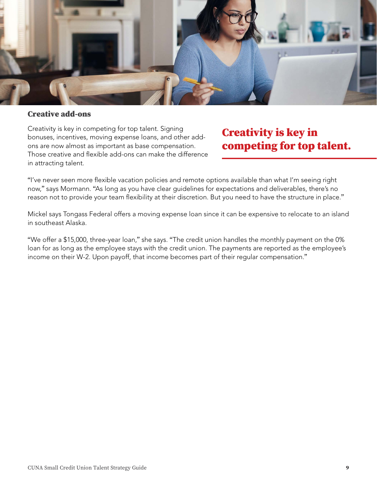

#### Creative add-ons

Creativity is key in competing for top talent. Signing bonuses, incentives, moving expense loans, and other addons are now almost as important as base compensation. Those creative and flexible add-ons can make the difference in attracting talent.

# Creativity is key in competing for top talent.

"I've never seen more flexible vacation policies and remote options available than what I'm seeing right now," says Mormann. "As long as you have clear guidelines for expectations and deliverables, there's no reason not to provide your team flexibility at their discretion. But you need to have the structure in place."

Mickel says Tongass Federal offers a moving expense loan since it can be expensive to relocate to an island in southeast Alaska.

"We offer a \$15,000, three-year loan," she says. "The credit union handles the monthly payment on the 0% loan for as long as the employee stays with the credit union. The payments are reported as the employee's income on their W-2. Upon payoff, that income becomes part of their regular compensation."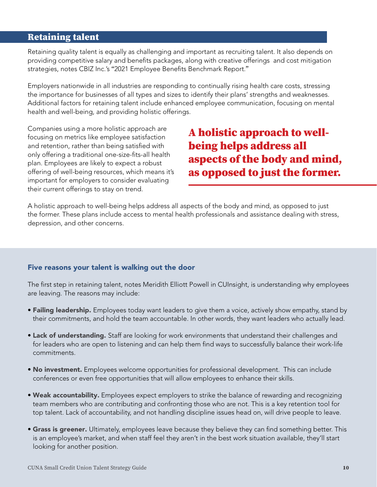# <span id="page-11-0"></span>Retaining talent

Retaining quality talent is equally as challenging and important as recruiting talent. It also depends on providing competitive salary and benefits packages, along with creative offerings and cost mitigation strategies, notes CBIZ Inc.'s "2021 Employee Benefits Benchmark Report."

Employers nationwide in all industries are responding to continually rising health care costs, stressing the importance for businesses of all types and sizes to identify their plans' strengths and weaknesses. Additional factors for retaining talent include enhanced employee communication, focusing on mental health and well-being, and providing holistic offerings.

Companies using a more holistic approach are focusing on metrics like employee satisfaction and retention, rather than being satisfied with only offering a traditional one-size-fits-all health plan. Employees are likely to expect a robust offering of well-being resources, which means it's important for employers to consider evaluating their current offerings to stay on trend.

A holistic approach to wellbeing helps address all aspects of the body and mind, as opposed to just the former.

A holistic approach to well-being helps address all aspects of the body and mind, as opposed to just the former. These plans include access to mental health professionals and assistance dealing with stress, depression, and other concerns.

#### Five reasons your talent is walking out the door

The first step in retaining talent, notes Meridith Elliott Powell in CUInsight, is understanding why employees are leaving. The reasons may include:

- Failing leadership. Employees today want leaders to give them a voice, actively show empathy, stand by their commitments, and hold the team accountable. In other words, they want leaders who actually lead.
- Lack of understanding. Staff are looking for work environments that understand their challenges and for leaders who are open to listening and can help them find ways to successfully balance their work-life commitments.
- No investment. Employees welcome opportunities for professional development. This can include conferences or even free opportunities that will allow employees to enhance their skills.
- Weak accountability. Employees expect employers to strike the balance of rewarding and recognizing team members who are contributing and confronting those who are not. This is a key retention tool for top talent. Lack of accountability, and not handling discipline issues head on, will drive people to leave.
- **Grass is greener.** Ultimately, employees leave because they believe they can find something better. This is an employee's market, and when staff feel they aren't in the best work situation available, they'll start looking for another position.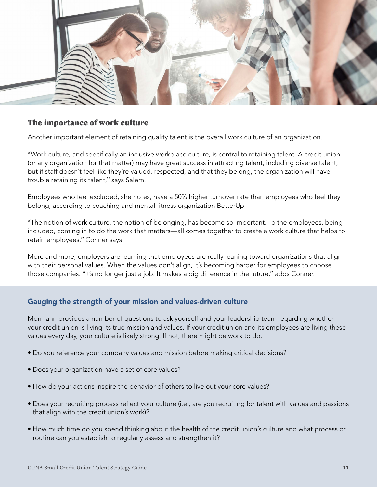<span id="page-12-0"></span>

#### The importance of work culture

Another important element of retaining quality talent is the overall work culture of an organization.

"Work culture, and specifically an inclusive workplace culture, is central to retaining talent. A credit union (or any organization for that matter) may have great success in attracting talent, including diverse talent, but if staff doesn't feel like they're valued, respected, and that they belong, the organization will have trouble retaining its talent," says Salem.

Employees who feel excluded, she notes, have a 50% higher turnover rate than employees who feel they belong, according to coaching and mental fitness organization BetterUp.

"The notion of work culture, the notion of belonging, has become so important. To the employees, being included, coming in to do the work that matters—all comes together to create a work culture that helps to retain employees," Conner says.

More and more, employers are learning that employees are really leaning toward organizations that align with their personal values. When the values don't align, it's becoming harder for employees to choose those companies. "It's no longer just a job. It makes a big difference in the future," adds Conner.

#### Gauging the strength of your mission and values-driven culture

Mormann provides a number of questions to ask yourself and your leadership team regarding whether your credit union is living its true mission and values. If your credit union and its employees are living these values every day, your culture is likely strong. If not, there might be work to do.

- Do you reference your company values and mission before making critical decisions?
- Does your organization have a set of core values?
- How do your actions inspire the behavior of others to live out your core values?
- Does your recruiting process reflect your culture (i.e., are you recruiting for talent with values and passions that align with the credit union's work)?
- How much time do you spend thinking about the health of the credit union's culture and what process or routine can you establish to regularly assess and strengthen it?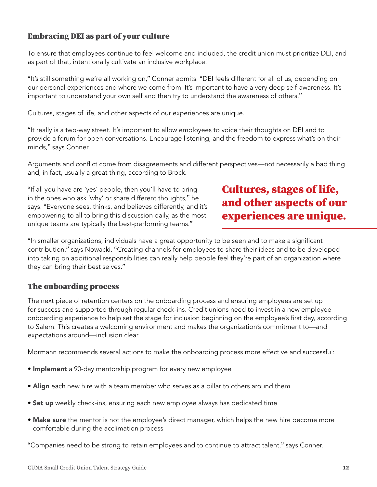# <span id="page-13-0"></span>Embracing DEI as part of your culture

To ensure that employees continue to feel welcome and included, the credit union must prioritize DEI, and as part of that, intentionally cultivate an inclusive workplace.

"It's still something we're all working on," Conner admits. "DEI feels different for all of us, depending on our personal experiences and where we come from. It's important to have a very deep self-awareness. It's important to understand your own self and then try to understand the awareness of others."

Cultures, stages of life, and other aspects of our experiences are unique.

"It really is a two-way street. It's important to allow employees to voice their thoughts on DEI and to provide a forum for open conversations. Encourage listening, and the freedom to express what's on their minds," says Conner.

Arguments and conflict come from disagreements and different perspectives—not necessarily a bad thing and, in fact, usually a great thing, according to Brock.

"If all you have are 'yes' people, then you'll have to bring in the ones who ask 'why' or share different thoughts," he says. "Everyone sees, thinks, and believes differently, and it's empowering to all to bring this discussion daily, as the most unique teams are typically the best-performing teams."

# Cultures, stages of life, and other aspects of our experiences are unique.

"In smaller organizations, individuals have a great opportunity to be seen and to make a significant contribution," says Nowacki. "Creating channels for employees to share their ideas and to be developed into taking on additional responsibilities can really help people feel they're part of an organization where they can bring their best selves."

## The onboarding process

The next piece of retention centers on the onboarding process and ensuring employees are set up for success and supported through regular check-ins. Credit unions need to invest in a new employee onboarding experience to help set the stage for inclusion beginning on the employee's first day, according to Salem. This creates a welcoming environment and makes the organization's commitment to—and expectations around—inclusion clear.

Mormann recommends several actions to make the onboarding process more effective and successful:

- Implement a 90-day mentorship program for every new employee
- Align each new hire with a team member who serves as a pillar to others around them
- **Set up** weekly check-ins, ensuring each new employee always has dedicated time
- Make sure the mentor is not the employee's direct manager, which helps the new hire become more comfortable during the acclimation process

"Companies need to be strong to retain employees and to continue to attract talent," says Conner.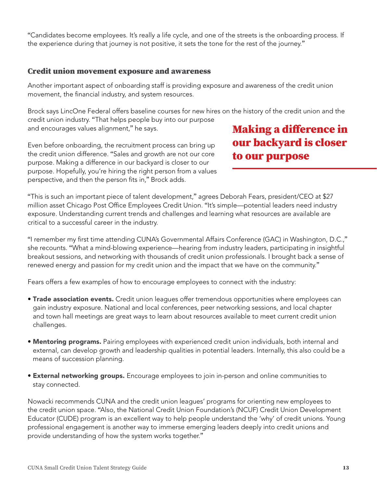<span id="page-14-0"></span>"Candidates become employees. It's really a life cycle, and one of the streets is the onboarding process. If the experience during that journey is not positive, it sets the tone for the rest of the journey."

#### Credit union movement exposure and awareness

Another important aspect of onboarding staff is providing exposure and awareness of the credit union movement, the financial industry, and system resources.

Brock says LincOne Federal offers baseline courses for new hires on the history of the credit union and the credit union industry. "That helps people buy into our purpose and encourages values alignment," he says.

Even before onboarding, the recruitment process can bring up the credit union difference. "Sales and growth are not our core purpose. Making a difference in our backyard is closer to our purpose. Hopefully, you're hiring the right person from a values perspective, and then the person fits in," Brock adds.

# Making a difference in our backyard is closer to our purpose

"This is such an important piece of talent development," agrees Deborah Fears, president/CEO at \$27 million asset Chicago Post Office Employees Credit Union. "It's simple—potential leaders need industry exposure. Understanding current trends and challenges and learning what resources are available are critical to a successful career in the industry.

"I remember my first time attending CUNA's Governmental Affairs Conference (GAC) in Washington, D.C.," she recounts. "What a mind-blowing experience—hearing from industry leaders, participating in insightful breakout sessions, and networking with thousands of credit union professionals. I brought back a sense of renewed energy and passion for my credit union and the impact that we have on the community."

Fears offers a few examples of how to encourage employees to connect with the industry:

- **Trade association events.** Credit union leagues offer tremendous opportunities where employees can gain industry exposure. National and local conferences, peer networking sessions, and local chapter and town hall meetings are great ways to learn about resources available to meet current credit union challenges.
- Mentoring programs. Pairing employees with experienced credit union individuals, both internal and external, can develop growth and leadership qualities in potential leaders. Internally, this also could be a means of succession planning.
- **External networking groups.** Encourage employees to join in-person and online communities to stay connected.

Nowacki recommends CUNA and the credit union leagues' programs for orienting new employees to the credit union space. "Also, the National Credit Union Foundation's (NCUF) Credit Union Development Educator (CUDE) program is an excellent way to help people understand the 'why' of credit unions. Young professional engagement is another way to immerse emerging leaders deeply into credit unions and provide understanding of how the system works together."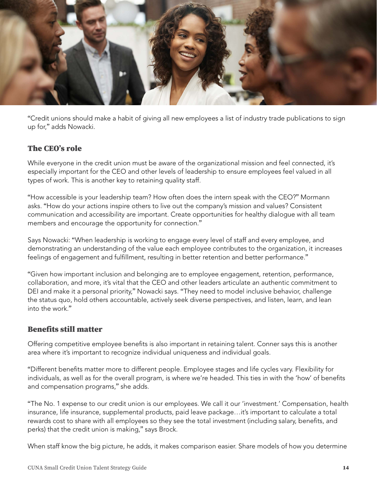<span id="page-15-0"></span>

"Credit unions should make a habit of giving all new employees a list of industry trade publications to sign up for," adds Nowacki.

## The CEO's role

While everyone in the credit union must be aware of the organizational mission and feel connected, it's especially important for the CEO and other levels of leadership to ensure employees feel valued in all types of work. This is another key to retaining quality staff.

"How accessible is your leadership team? How often does the intern speak with the CEO?" Mormann asks. "How do your actions inspire others to live out the company's mission and values? Consistent communication and accessibility are important. Create opportunities for healthy dialogue with all team members and encourage the opportunity for connection."

Says Nowacki: "When leadership is working to engage every level of staff and every employee, and demonstrating an understanding of the value each employee contributes to the organization, it increases feelings of engagement and fulfillment, resulting in better retention and better performance."

"Given how important inclusion and belonging are to employee engagement, retention, performance, collaboration, and more, it's vital that the CEO and other leaders articulate an authentic commitment to DEI and make it a personal priority," Nowacki says. "They need to model inclusive behavior, challenge the status quo, hold others accountable, actively seek diverse perspectives, and listen, learn, and lean into the work."

## Benefits still matter

Offering competitive employee benefits is also important in retaining talent. Conner says this is another area where it's important to recognize individual uniqueness and individual goals.

"Different benefits matter more to different people. Employee stages and life cycles vary. Flexibility for individuals, as well as for the overall program, is where we're headed. This ties in with the 'how' of benefits and compensation programs," she adds.

"The No. 1 expense to our credit union is our employees. We call it our 'investment.' Compensation, health insurance, life insurance, supplemental products, paid leave package…it's important to calculate a total rewards cost to share with all employees so they see the total investment (including salary, benefits, and perks) that the credit union is making," says Brock.

When staff know the big picture, he adds, it makes comparison easier. Share models of how you determine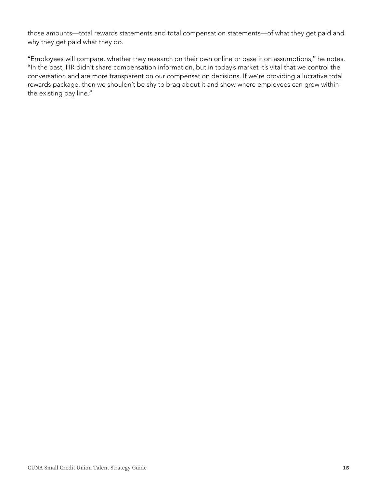<span id="page-16-0"></span>those amounts—total rewards statements and total compensation statements—of what they get paid and why they get paid what they do.

"Employees will compare, whether they research on their own online or base it on assumptions," he notes. "In the past, HR didn't share compensation information, but in today's market it's vital that we control the conversation and are more transparent on our compensation decisions. If we're providing a lucrative total rewards package, then we shouldn't be shy to brag about it and show where employees can grow within the existing pay line."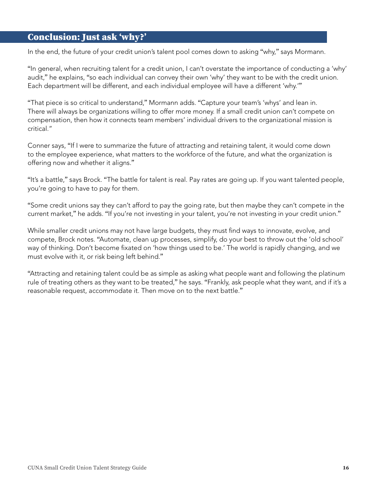# <span id="page-17-0"></span>Conclusion: Just ask 'why?'

In the end, the future of your credit union's talent pool comes down to asking "why," says Mormann.

"In general, when recruiting talent for a credit union, I can't overstate the importance of conducting a 'why' audit," he explains, "so each individual can convey their own 'why' they want to be with the credit union. Each department will be different, and each individual employee will have a different 'why.'"

"That piece is so critical to understand," Mormann adds. "Capture your team's 'whys' and lean in. There will always be organizations willing to offer more money. If a small credit union can't compete on compensation, then how it connects team members' individual drivers to the organizational mission is critical."

Conner says, "If I were to summarize the future of attracting and retaining talent, it would come down to the employee experience, what matters to the workforce of the future, and what the organization is offering now and whether it aligns."

"It's a battle," says Brock. "The battle for talent is real. Pay rates are going up. If you want talented people, you're going to have to pay for them.

"Some credit unions say they can't afford to pay the going rate, but then maybe they can't compete in the current market," he adds. "If you're not investing in your talent, you're not investing in your credit union."

While smaller credit unions may not have large budgets, they must find ways to innovate, evolve, and compete, Brock notes. "Automate, clean up processes, simplify, do your best to throw out the 'old school' way of thinking. Don't become fixated on 'how things used to be.' The world is rapidly changing, and we must evolve with it, or risk being left behind."

"Attracting and retaining talent could be as simple as asking what people want and following the platinum rule of treating others as they want to be treated," he says. "Frankly, ask people what they want, and if it's a reasonable request, accommodate it. Then move on to the next battle."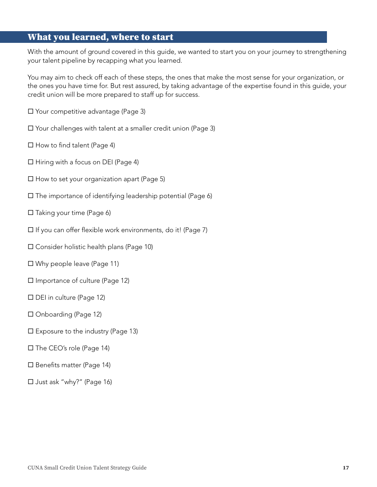# <span id="page-18-0"></span>What you learned, where to start

With the amount of ground covered in this guide, we wanted to start you on your journey to strengthening your talent pipeline by recapping what you learned.

You may aim to check off each of these steps, the ones that make the most sense for your organization, or the ones you have time for. But rest assured, by taking advantage of the expertise found in this guide, your credit union will be more prepared to staff up for success.

- $\square$  Your competitive advantage [\(Page 3\)](#page-4-0)
- $\square$  Your challenges with talent at a smaller credit union [\(Page 3\)](#page-4-0)
- $\square$  How to find talen[t \(Page 4\)](#page-5-0)
- $\Box$  Hiring with a focus on DEI [\(Page 4\)](#page-5-0)
- $\square$  How to set your organization apart [\(Page 5\)](#page-6-0)
- $\square$  The importance of identifying leadership potential [\(Page 6\)](#page-7-0)
- $\square$  Taking your time [\(Page 6\)](#page-7-0)
- $\square$  If you can offer flexible work environments, do it! [\(Page 7\)](#page-8-0)
- $\square$  Consider holistic health plans [\(Page 10\)](#page-11-0)
- $\square$  Why people leave [\(Page 11\)](#page-12-0)
- $\square$  Importance of culture [\(Page 12\)](#page-13-0)
- $\Box$  DEI in culture [\(Page 12\)](#page-13-0)
- □ Onboarding [\(Page 12\)](#page-13-0)
- $\square$  Exposure to the industry [\(Page 13\)](#page-14-0)
- □ The CEO's role [\(Page 14\)](#page-15-0)
- $\square$  Benefits matter ([Page 14\)](#page-15-0)
- □ Just ask "why?" [\(Page 16\)](#page-17-0)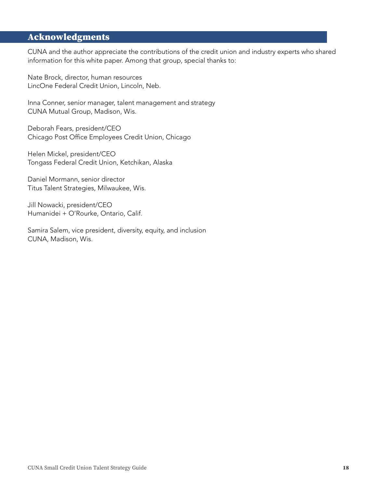# Acknowledgments

CUNA and the author appreciate the contributions of the credit union and industry experts who shared information for this white paper. Among that group, special thanks to:

Nate Brock, director, human resources LincOne Federal Credit Union, Lincoln, Neb.

Inna Conner, senior manager, talent management and strategy CUNA Mutual Group, Madison, Wis.

Deborah Fears, president/CEO Chicago Post Office Employees Credit Union, Chicago

Helen Mickel, president/CEO Tongass Federal Credit Union, Ketchikan, Alaska

Daniel Mormann, senior director Titus Talent Strategies, Milwaukee, Wis.

Jill Nowacki, president/CEO Humanidei + O'Rourke, Ontario, Calif.

Samira Salem, vice president, diversity, equity, and inclusion CUNA, Madison, Wis.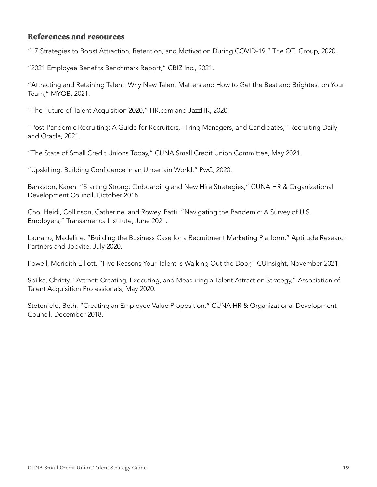#### References and resources

"17 Strategies to Boost Attraction, Retention, and Motivation During COVID-19," The QTI Group, 2020.

"2021 Employee Benefits Benchmark Report," CBIZ Inc., 2021.

"Attracting and Retaining Talent: Why New Talent Matters and How to Get the Best and Brightest on Your Team," MYOB, 2021.

"The Future of Talent Acquisition 2020," [HR.com](http://HR.com) and JazzHR, 2020.

"Post-Pandemic Recruiting: A Guide for Recruiters, Hiring Managers, and Candidates," Recruiting Daily and Oracle, 2021.

"The State of Small Credit Unions Today," CUNA Small Credit Union Committee, May 2021.

"Upskilling: Building Confidence in an Uncertain World," PwC, 2020.

Bankston, Karen. "Starting Strong: Onboarding and New Hire Strategies," CUNA HR & Organizational Development Council, October 2018.

Cho, Heidi, Collinson, Catherine, and Rowey, Patti. "Navigating the Pandemic: A Survey of U.S. Employers," Transamerica Institute, June 2021.

Laurano, Madeline. "Building the Business Case for a Recruitment Marketing Platform," Aptitude Research Partners and Jobvite, July 2020.

Powell, Meridith Elliott. "Five Reasons Your Talent Is Walking Out the Door," CUInsight, November 2021.

Spilka, Christy. "Attract: Creating, Executing, and Measuring a Talent Attraction Strategy," Association of Talent Acquisition Professionals, May 2020.

Stetenfeld, Beth. "Creating an Employee Value Proposition," CUNA HR & Organizational Development Council, December 2018.